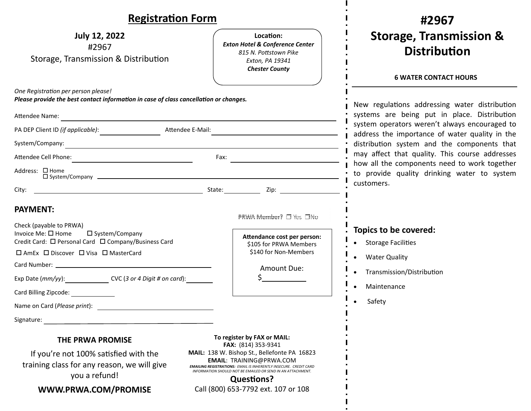| <b>Registration Form</b>                                                                                                                                                     |                                                                                                                                       |                                 |  |
|------------------------------------------------------------------------------------------------------------------------------------------------------------------------------|---------------------------------------------------------------------------------------------------------------------------------------|---------------------------------|--|
| <b>July 12, 2022</b><br>#2967<br>Storage, Transmission & Distribution                                                                                                        | Location:<br><b>Exton Hotel &amp; Conference Center</b><br>815 N. Pottstown Pike<br>Exton, PA 19341<br><b>Chester County</b>          | Stora                           |  |
| One Registration per person please!                                                                                                                                          |                                                                                                                                       | <b>6</b> \                      |  |
| Please provide the best contact information in case of class cancellation or changes.                                                                                        |                                                                                                                                       | New regulatio                   |  |
|                                                                                                                                                                              | systems are                                                                                                                           |                                 |  |
| PA DEP Client ID (if applicable): Attendee E-Mail:<br><u> 1989 - Johann Barn, mars ann an t-Amhain ann an t-Amhain an t-Amhain an t-Amhain an t-Amhain an t-Amhain an t-</u> |                                                                                                                                       | system operat<br>address the in |  |
|                                                                                                                                                                              |                                                                                                                                       | distribution sy                 |  |
|                                                                                                                                                                              | Fax:                                                                                                                                  | may affect th<br>how all the co |  |
| Address: □ Home                                                                                                                                                              | to provide q                                                                                                                          |                                 |  |
| City:                                                                                                                                                                        |                                                                                                                                       | customers.                      |  |
| <b>PAYMENT:</b><br>Check (payable to PRWA)                                                                                                                                   | PRWA Member? □ Yes □No                                                                                                                |                                 |  |
| Invoice Me: $\square$ Home<br>□ System/Company<br>Credit Card: □ Personal Card □ Company/Business Card                                                                       | Attendance cost per person:<br>\$105 for PRWA Members<br>\$140 for Non-Members                                                        | Topics to be<br>Storage Faci    |  |
| $\Box$ AmEx $\Box$ Discover $\Box$ Visa $\Box$ MasterCard                                                                                                                    |                                                                                                                                       | Water Quali                     |  |
|                                                                                                                                                                              | Amount Due:                                                                                                                           | Transmissio                     |  |
| Exp Date (mm/yy): CVC (3 or 4 Digit # on card):                                                                                                                              | $\frac{1}{2}$                                                                                                                         | Maintenanc                      |  |
| Card Billing Zipcode:                                                                                                                                                        |                                                                                                                                       | Safety                          |  |
|                                                                                                                                                                              |                                                                                                                                       |                                 |  |
| Signature: Signature:                                                                                                                                                        |                                                                                                                                       |                                 |  |
| THE PRWA PROMISE<br>If you're not 100% satisfied with the<br>training class for any roason, we will give                                                                     | To register by FAX or MAIL:<br>FAX: (814) 353-9341<br>MAIL: 138 W. Bishop St., Bellefonte PA 16823<br><b>EMAIL: TRAINING@PRWA.COM</b> |                                 |  |

### **#2967 Storage, Transmission & DistribuƟon**

#### **6 WATER CONTACT HOURS**

ons addressing water distribution being put in place. Distribution ors weren't always encouraged to mportance of water quality in the ystem and the components that at quality. This course addresses omponents need to work together uality drinking water to system

### covered:

- ilities
- ity

H

- n/Distribution
- Maintenance

training class for any reason, we will give you a refund!

**WWW.PRWA.COM/PROMISE** 

**EMAIL**: TRAINING@PRWA.COM *EMAILING REGISTRATIONS: EMAIL IS INHERENTLY INSECURE. CREDIT CARD INFORMATION SHOULD NOT BE EMAILED OR SEND IN AN ATTACHMENT.* **Questions?** 

Call (800) 653‐7792 ext. 107 or 108